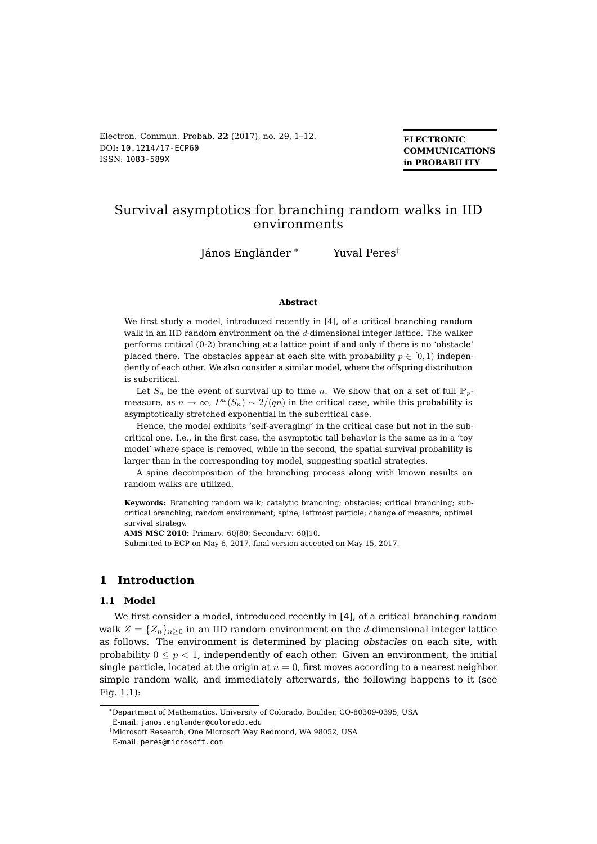Electron. Commun. Probab. **22** (2017), no. 29, 1–12. DOI: [10.1214/17-ECP60](http://dx.doi.org/10.1214/17-ECP60) ISSN: [1083-589X](http://www.imstat.org/ecp/)

**ELECTRONIC COMMUNICATIONS in PROBABILITY**

# Survival asymptotics for branching random walks in IID environments

János Engländer \* Yuval Peres<sup>†</sup>

#### **Abstract**

We first study a model, introduced recently in [4], of a critical branching random walk in an IID random environment on the d-dimensional integer lattice. The walker performs critical (0-2) branching at a lattice point if and only if there is no 'obstacle' placed there. The obstacles appear at each site with probability  $p \in [0, 1)$  independently of each other. We also consider a similar model, where the offspring distribution is subcritical.

Let  $S_n$  be the event of survival up to time n. We show that on a set of full  $\mathbb{P}_p$ measure, as  $n \to \infty$ ,  $P^{\omega}(S_n) \sim 2/(qn)$  in the critical case, while this probability is asymptotically stretched exponential in the subcritical case.

Hence, the model exhibits 'self-averaging' in the critical case but not in the subcritical one. I.e., in the first case, the asymptotic tail behavior is the same as in a 'toy model' where space is removed, while in the second, the spatial survival probability is larger than in the corresponding toy model, suggesting spatial strategies.

A spine decomposition of the branching process along with known results on random walks are utilized.

**Keywords:** Branching random walk; catalytic branching; obstacles; critical branching; subcritical branching; random environment; spine; leftmost particle; change of measure; optimal survival strategy.

**AMS MSC 2010:** Primary: 60J80; Secondary: 60J10.

Submitted to ECP on May 6, 2017, final version accepted on May 15, 2017.

# **1 Introduction**

#### **1.1 Model**

We first consider a model, introduced recently in [4], of a critical branching random walk  $Z = \{Z_n\}_{n\geq 0}$  in an IID random environment on the d-dimensional integer lattice as follows. The environment is determined by placing obstacles on each site, with probability  $0 \leq p < 1$ , independently of each other. Given an environment, the initial single particle, located at the origin at  $n = 0$ , first moves according to a nearest neighbor simple random walk, and immediately afterwards, the following happens to it (see Fig. 1.1):

\*Department of Mathematics, University of Colorado, Boulder, CO-80309-0395, USA E-mail: [janos.englander@colorado.edu](mailto:janos.englander@colorado.edu)

<sup>†</sup>Microsoft Research, One Microsoft Way Redmond, WA 98052, USA

E-mail: [peres@microsoft.com](mailto:peres@microsoft.com)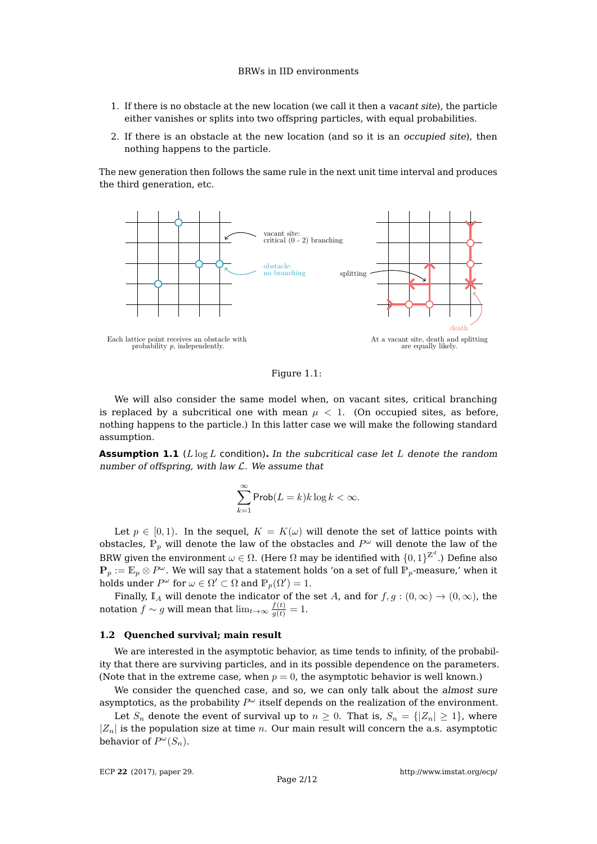- 1. If there is no obstacle at the new location (we call it then a vacant site), the particle either vanishes or splits into two offspring particles, with equal probabilities.
- 2. If there is an obstacle at the new location (and so it is an occupied site), then nothing happens to the particle.

The new generation then follows the same rule in the next unit time interval and produces the third generation, etc.



Figure 1.1:

We will also consider the same model when, on vacant sites, critical branching is replaced by a subcritical one with mean  $\mu < 1$ . (On occupied sites, as before, nothing happens to the particle.) In this latter case we will make the following standard assumption.

**Assumption 1.1** ( $L \log L$  condition). In the subcritical case let  $L$  denote the random number of offspring, with law  $\mathcal L$ . We assume that

$$
\sum_{k=1}^\infty \mathsf{Prob}(L=k)k\log k<\infty.
$$

Let  $p \in [0, 1)$ . In the sequel,  $K = K(\omega)$  will denote the set of lattice points with obstacles,  $\mathbb{P}_p$  will denote the law of the obstacles and  $P^{\omega}$  will denote the law of the BRW given the environment  $\omega \in \Omega.$  (Here  $\Omega$  may be identified with  $\{0,1\}^{\mathbb{Z}^d}.$ ) Define also  $\mathbf{P}_p := \mathbb{E}_p \otimes P^\omega.$  We will say that a statement holds 'on a set of full  $\mathbb{P}_p$ -measure,' when it holds under  $P^{\omega}$  for  $\omega \in \Omega' \subset \Omega$  and  $\mathbb{P}_p(\Omega') = 1$ .

Finally,  $\mathbb{I}_A$  will denote the indicator of the set A, and for  $f, g : (0, \infty) \to (0, \infty)$ , the notation  $f \sim g$  will mean that  $\lim_{t \to \infty} \frac{f(t)}{g(t)} = 1.$ 

#### **1.2 Quenched survival; main result**

We are interested in the asymptotic behavior, as time tends to infinity, of the probability that there are surviving particles, and in its possible dependence on the parameters. (Note that in the extreme case, when  $p = 0$ , the asymptotic behavior is well known.)

We consider the quenched case, and so, we can only talk about the almost sure asymptotics, as the probability  $P^{\omega}$  itself depends on the realization of the environment.

Let  $S_n$  denote the event of survival up to  $n \geq 0$ . That is,  $S_n = \{ |Z_n| \geq 1 \}$ , where  $|Z_n|$  is the population size at time n. Our main result will concern the a.s. asymptotic behavior of  $P^{\omega}(S_n)$ .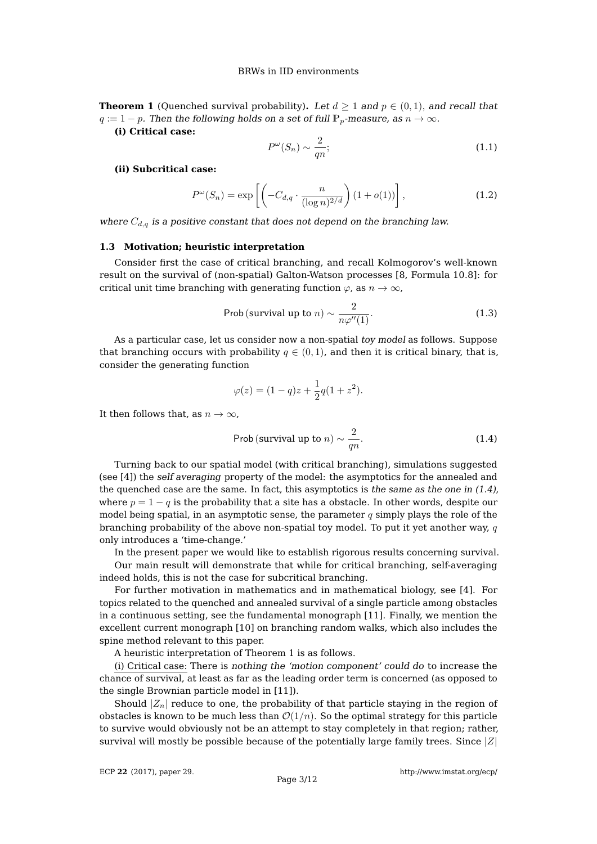**Theorem 1** (Quenched survival probability). Let  $d > 1$  and  $p \in (0, 1)$ , and recall that  $q := 1 - p$ . Then the following holds on a set of full  $\mathbb{P}_p$ -measure, as  $n \to \infty$ .

**(i) Critical case:**

$$
P^{\omega}(S_n) \sim \frac{2}{qn};\tag{1.1}
$$

## **(ii) Subcritical case:**

$$
P^{\omega}(S_n) = \exp\left[\left(-C_{d,q} \cdot \frac{n}{(\log n)^{2/d}}\right) (1 + o(1))\right],\tag{1.2}
$$

where  $C_{d,q}$  is a positive constant that does not depend on the branching law.

#### **1.3 Motivation; heuristic interpretation**

Consider first the case of critical branching, and recall Kolmogorov's well-known result on the survival of (non-spatial) Galton-Watson processes [8, Formula 10.8]: for critical unit time branching with generating function  $\varphi$ , as  $n \to \infty$ ,

Prob (survival up to 
$$
n
$$
)  $\sim \frac{2}{n\varphi''(1)}$ . (1.3)

As a particular case, let us consider now a non-spatial toy model as follows. Suppose that branching occurs with probability  $q \in (0, 1)$ , and then it is critical binary, that is, consider the generating function

$$
\varphi(z) = (1 - q)z + \frac{1}{2}q(1 + z^2).
$$

It then follows that, as  $n \to \infty$ ,

Prob (survival up to 
$$
n
$$
)  $\sim \frac{2}{qn}$ . (1.4)

Turning back to our spatial model (with critical branching), simulations suggested (see [4]) the self averaging property of the model: the asymptotics for the annealed and the quenched case are the same. In fact, this asymptotics is the same as the one in  $(1.4)$ , where  $p = 1 - q$  is the probability that a site has a obstacle. In other words, despite our model being spatial, in an asymptotic sense, the parameter q simply plays the role of the branching probability of the above non-spatial toy model. To put it yet another way,  $q$ only introduces a 'time-change.'

In the present paper we would like to establish rigorous results concerning survival. Our main result will demonstrate that while for critical branching, self-averaging indeed holds, this is not the case for subcritical branching.

For further motivation in mathematics and in mathematical biology, see [4]. For topics related to the quenched and annealed survival of a single particle among obstacles in a continuous setting, see the fundamental monograph [11]. Finally, we mention the excellent current monograph [10] on branching random walks, which also includes the spine method relevant to this paper.

A heuristic interpretation of Theorem 1 is as follows.

(i) Critical case: There is nothing the 'motion component' could do to increase the chance of survival, at least as far as the leading order term is concerned (as opposed to the single Brownian particle model in [11]).

Should  $|Z_n|$  reduce to one, the probability of that particle staying in the region of obstacles is known to be much less than  $\mathcal{O}(1/n)$ . So the optimal strategy for this particle to survive would obviously not be an attempt to stay completely in that region; rather, survival will mostly be possible because of the potentially large family trees. Since  $|Z|$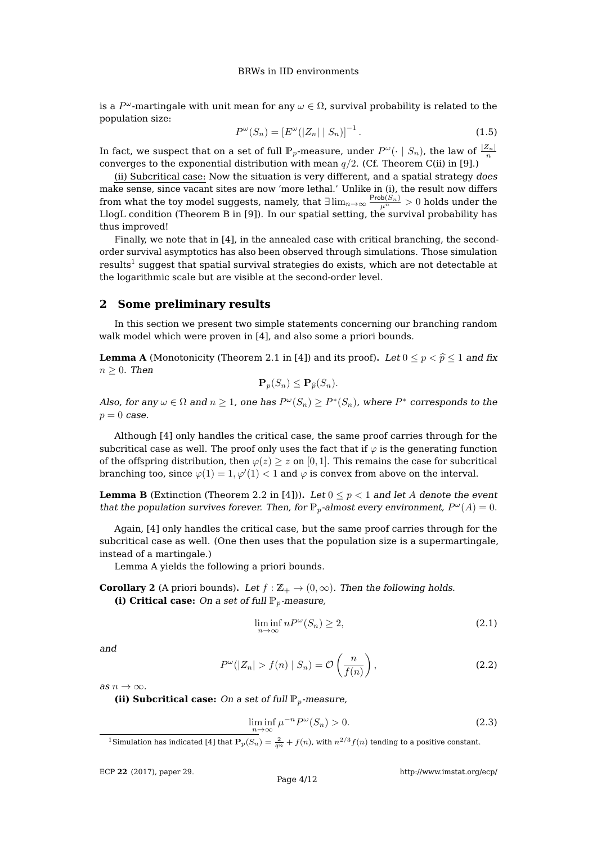is a  $P^\omega$ -martingale with unit mean for any  $\omega\in\Omega$ , survival probability is related to the population size:

$$
P^{\omega}(S_n) = \left[E^{\omega}(|Z_n| \mid S_n)\right]^{-1}.
$$
\n(1.5)

In fact, we suspect that on a set of full  $\mathbb{P}_p$ -measure, under  $P^\omega(\cdot \mid S_n)$ , the law of  $\frac{|Z_n|}{n}$ converges to the exponential distribution with mean  $q/2$ . (Cf. Theorem C(ii) in [9].)

(ii) Subcritical case: Now the situation is very different, and a spatial strategy does make sense, since vacant sites are now 'more lethal.' Unlike in (i), the result now differs from what the toy model suggests, namely, that  $\exists\lim_{n\to\infty}\frac{\text{Prob}(S_n)}{\mu^n}>0$  holds under the LlogL condition (Theorem B in [9]). In our spatial setting, the survival probability has thus improved!

Finally, we note that in [4], in the annealed case with critical branching, the secondorder survival asymptotics has also been observed through simulations. Those simulation results $^1$  suggest that spatial survival strategies do exists, which are not detectable at the logarithmic scale but are visible at the second-order level.

## **2 Some preliminary results**

In this section we present two simple statements concerning our branching random walk model which were proven in [4], and also some a priori bounds.

**Lemma A** (Monotonicity (Theorem 2.1 in [4]) and its proof). Let  $0 \le p < \hat{p} \le 1$  and fix  $n \geq 0$ . Then

$$
\mathbf{P}_p(S_n) \leq \mathbf{P}_{\widehat{p}}(S_n).
$$

Also, for any  $\omega \in \Omega$  and  $n \geq 1$ , one has  $P^{\omega}(S_n) \geq P^*(S_n)$ , where  $P^*$  corresponds to the  $p = 0$  case.

Although [4] only handles the critical case, the same proof carries through for the subcritical case as well. The proof only uses the fact that if  $\varphi$  is the generating function of the offspring distribution, then  $\varphi(z) \geq z$  on [0, 1]. This remains the case for subcritical branching too, since  $\varphi(1) = 1, \varphi'(1) < 1$  and  $\varphi$  is convex from above on the interval.

**Lemma B** (Extinction (Theorem 2.2 in [4])). Let  $0 \leq p < 1$  and let A denote the event that the population survives forever. Then, for  $\mathbb{P}_p$ -almost every environment,  $P^{\omega}(A) = 0$ .

Again, [4] only handles the critical case, but the same proof carries through for the subcritical case as well. (One then uses that the population size is a supermartingale, instead of a martingale.)

Lemma A yields the following a priori bounds.

**Corollary 2** (A priori bounds). Let  $f : \mathbb{Z}_+ \to (0, \infty)$ . Then the following holds. **(i) Critical case:** On a set of full  $\mathbb{P}_p$ -measure,

$$
\liminf_{n \to \infty} nP^{\omega}(S_n) \ge 2,
$$
\n(2.1)

and

$$
P^{\omega}(|Z_n| > f(n) | S_n) = \mathcal{O}\left(\frac{n}{f(n)}\right),\tag{2.2}
$$

as  $n \to \infty$ .

**(ii) Subcritical case:** On a set of full  $\mathbb{P}_p$ -measure,

$$
\liminf_{n \to \infty} \mu^{-n} P^{\omega}(S_n) > 0. \tag{2.3}
$$

<sup>1</sup> Simulation has indicated [4] that  ${\bf P}_p(S_n)=\frac{2}{qn}+f(n)$ , with  $n^{2/3}f(n)$  tending to a positive constant.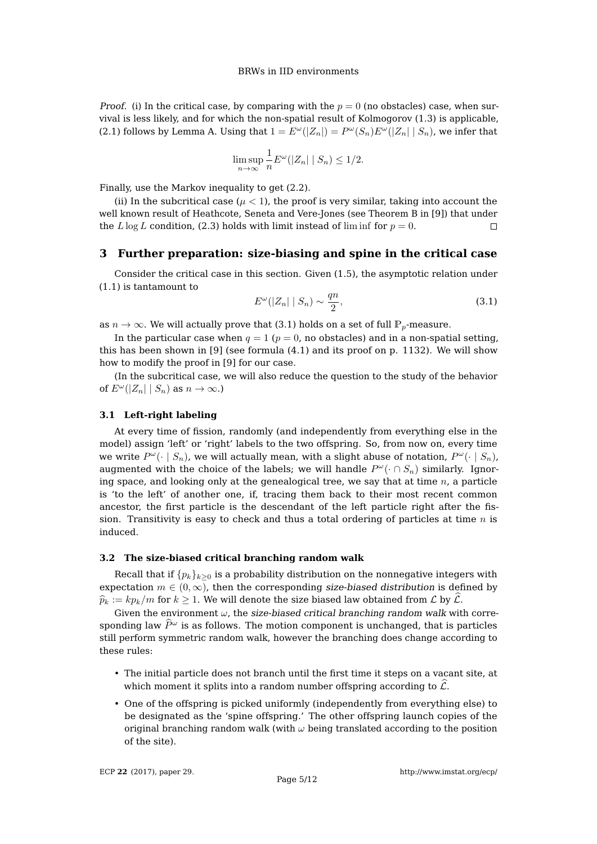*Proof.* (i) In the critical case, by comparing with the  $p = 0$  (no obstacles) case, when survival is less likely, and for which the non-spatial result of Kolmogorov (1.3) is applicable, (2.1) follows by Lemma A. Using that  $1 = E^{\omega}(|Z_n|) = P^{\omega}(S_n)E^{\omega}(|Z_n| | S_n)$ , we infer that

$$
\limsup_{n \to \infty} \frac{1}{n} E^{\omega}(|Z_n| \mid S_n) \le 1/2.
$$

Finally, use the Markov inequality to get (2.2).

(ii) In the subcritical case ( $\mu$  < 1), the proof is very similar, taking into account the well known result of Heathcote, Seneta and Vere-Jones (see Theorem B in [9]) that under the  $L \log L$  condition, (2.3) holds with limit instead of lim inf for  $p = 0$ .  $\Box$ 

## **3 Further preparation: size-biasing and spine in the critical case**

Consider the critical case in this section. Given (1.5), the asymptotic relation under (1.1) is tantamount to

$$
E^{\omega}(|Z_n| \mid S_n) \sim \frac{qn}{2},\tag{3.1}
$$

as  $n \to \infty$ . We will actually prove that (3.1) holds on a set of full  $\mathbb{P}_p$ -measure.

In the particular case when  $q = 1$  ( $p = 0$ , no obstacles) and in a non-spatial setting, this has been shown in  $[9]$  (see formula  $(4.1)$  and its proof on p. 1132). We will show how to modify the proof in [9] for our case.

(In the subcritical case, we will also reduce the question to the study of the behavior of  $E^{\omega}(|Z_n| | S_n)$  as  $n \to \infty$ .)

#### **3.1 Left-right labeling**

At every time of fission, randomly (and independently from everything else in the model) assign 'left' or 'right' labels to the two offspring. So, from now on, every time we write  $P^\omega(\cdot \mid S_n)$ , we will actually mean, with a slight abuse of notation,  $P^\omega(\cdot \mid S_n)$ , augmented with the choice of the labels; we will handle  $P^{\omega}(\cdot \cap S_n)$  similarly. Ignoring space, and looking only at the genealogical tree, we say that at time  $n$ , a particle is 'to the left' of another one, if, tracing them back to their most recent common ancestor, the first particle is the descendant of the left particle right after the fission. Transitivity is easy to check and thus a total ordering of particles at time  $n$  is induced.

## **3.2 The size-biased critical branching random walk**

Recall that if  $\{p_k\}_{k\geq 0}$  is a probability distribution on the nonnegative integers with expectation  $m \in (0, \infty)$ , then the corresponding size-biased distribution is defined by  $\widehat{p}_k := k p_k/m$  for  $k \geq 1$ . We will denote the size biased law obtained from  $\mathcal{L}$  by  $\widehat{\mathcal{L}}$ .

Given the environment  $\omega$ , the size-biased critical branching random walk with corresponding law  $\hat{P}^{\omega}$  is as follows. The motion component is unchanged, that is particles still perform symmetric random walk, however the branching does change according to these rules:

- The initial particle does not branch until the first time it steps on a vacant site, at which moment it splits into a random number offspring according to  $\hat{\mathcal{L}}$ .
- One of the offspring is picked uniformly (independently from everything else) to be designated as the 'spine offspring.' The other offspring launch copies of the original branching random walk (with  $\omega$  being translated according to the position of the site).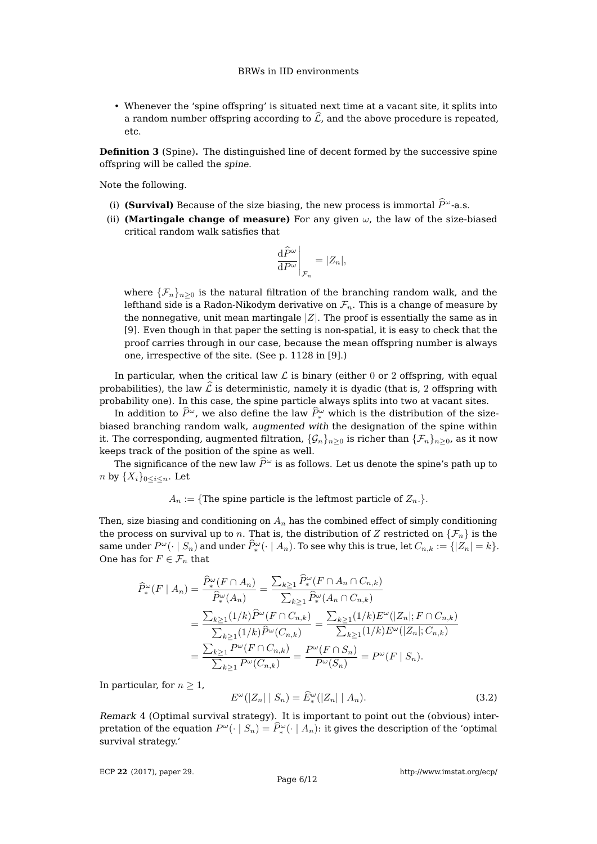• Whenever the 'spine offspring' is situated next time at a vacant site, it splits into a random number offspring according to  $\hat{\mathcal{L}}$ , and the above procedure is repeated, etc.

**Definition 3** (Spine)**.** The distinguished line of decent formed by the successive spine offspring will be called the spine.

Note the following.

- (i) **(Survival)** Because of the size biasing, the new process is immortal  $\hat{P}^{\omega}$ -a.s.
- (ii) **(Martingale change of measure)** For any given  $\omega$ , the law of the size-biased critical random walk satisfies that

$$
\left. \frac{\mathrm{d}\widehat{P}^{\omega}}{\mathrm{d}P^{\omega}} \right|_{\mathcal{F}_n} = |Z_n|,
$$

where  $\{\mathcal{F}_n\}_{n>0}$  is the natural filtration of the branching random walk, and the lefthand side is a Radon-Nikodym derivative on  $\mathcal{F}_n$ . This is a change of measure by the nonnegative, unit mean martingale  $|Z|$ . The proof is essentially the same as in [9]. Even though in that paper the setting is non-spatial, it is easy to check that the proof carries through in our case, because the mean offspring number is always one, irrespective of the site. (See p. 1128 in [9].)

In particular, when the critical law  $\mathcal L$  is binary (either 0 or 2 offspring, with equal probabilities), the law  $\hat{\mathcal{L}}$  is deterministic, namely it is dyadic (that is, 2 offspring with probability one). In this case, the spine particle always splits into two at vacant sites.

In addition to  $\hat{P}^{\omega}$ , we also define the law  $\hat{P}^{\omega}$  which is the distribution of the sizebiased branching random walk, augmented with the designation of the spine within it. The corresponding, augmented filtration,  $\{\mathcal{G}_n\}_{n>0}$  is richer than  $\{\mathcal{F}_n\}_{n>0}$ , as it now keeps track of the position of the spine as well.

The significance of the new law  $\hat{P}^{\omega}$  is as follows. Let us denote the spine's path up to n by  $\{X_i\}_{0 \leq i \leq n}$ . Let

 $A_n := \{$ The spine particle is the leftmost particle of  $Z_n$ .}.

Then, size biasing and conditioning on  $A_n$  has the combined effect of simply conditioning the process on survival up to n. That is, the distribution of Z restricted on  $\{\mathcal{F}_n\}$  is the same under  $P^{\omega}(\cdot \mid S_n)$  and under  $\widehat{P}^{\omega}_*(\cdot \mid A_n)$ . To see why this is true, let  $C_{n,k} := \{|Z_n| = k\}$ . One has for  $F \in \mathcal{F}_n$  that

$$
\begin{split} \widehat{P}_{*}^{\omega}(F \mid A_{n}) &= \frac{\widehat{P}_{*}^{\omega}(F \cap A_{n})}{\widehat{P}_{*}^{\omega}(A_{n})} = \frac{\sum_{k \geq 1} \widehat{P}_{*}^{\omega}(F \cap A_{n} \cap C_{n,k})}{\sum_{k \geq 1} \widehat{P}_{*}^{\omega}(A_{n} \cap C_{n,k})} \\ &= \frac{\sum_{k \geq 1} (1/k) \widehat{P}^{\omega}(F \cap C_{n,k})}{\sum_{k \geq 1} (1/k) \widehat{P}^{\omega}(C_{n,k})} = \frac{\sum_{k \geq 1} (1/k) E^{\omega}(|Z_{n}|; F \cap C_{n,k})}{\sum_{k \geq 1} (1/k) E^{\omega}(|Z_{n}|; C_{n,k})} \\ &= \frac{\sum_{k \geq 1} P^{\omega}(F \cap C_{n,k})}{\sum_{k \geq 1} P^{\omega}(C_{n,k})} = \frac{P^{\omega}(F \cap S_{n})}{P^{\omega}(S_{n})} = P^{\omega}(F \mid S_{n}). \end{split}
$$

In particular, for  $n \geq 1$ ,

$$
E^{\omega}(|Z_n| \mid S_n) = \widehat{E}_*^{\omega}(|Z_n| \mid A_n). \tag{3.2}
$$

Remark 4 (Optimal survival strategy). It is important to point out the (obvious) interpretation of the equation  $P^{\omega}(\cdot | S_n) = \widehat{P}^{\omega}_*(\cdot | A_n)$ : it gives the description of the 'optimal survival strategy.'

ECP **22** [\(2017\), paper 29.](http://dx.doi.org/10.1214/17-ECP60)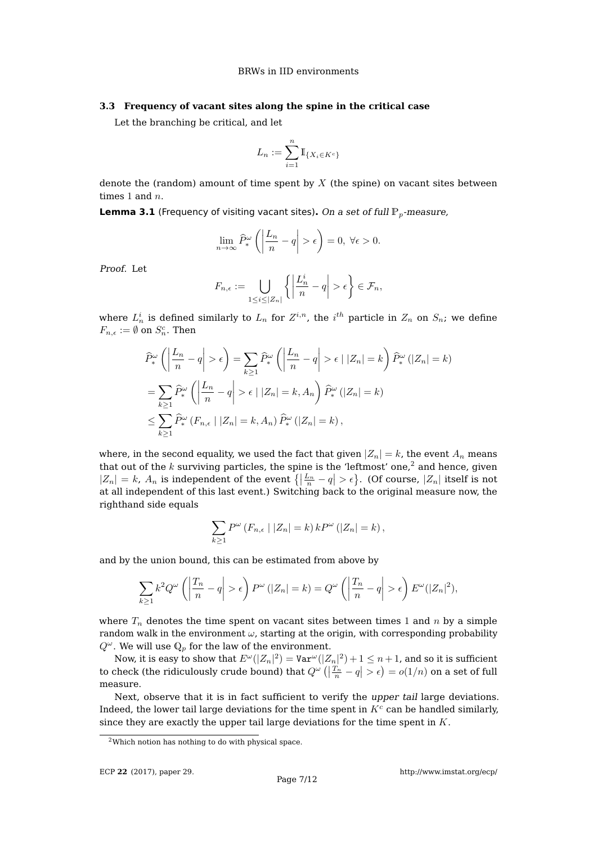#### **3.3 Frequency of vacant sites along the spine in the critical case**

Let the branching be critical, and let

$$
L_n:=\sum_{i=1}^n\mathbb{I}_{\{X_i\in K^c\}}
$$

denote the (random) amount of time spent by  $X$  (the spine) on vacant sites between times 1 and  $n$ .

**Lemma 3.1** (Frequency of visiting vacant sites). On a set of full  $\mathbb{P}_p$ -measure,

$$
\lim_{n \to \infty} \widehat{P}^{\omega}_* \left( \left| \frac{L_n}{n} - q \right| > \epsilon \right) = 0, \ \forall \epsilon > 0.
$$

Proof. Let

$$
F_{n,\epsilon} := \bigcup_{1 \le i \le |Z_n|} \left\{ \left| \frac{L_n^i}{n} - q \right| > \epsilon \right\} \in \mathcal{F}_n,
$$

where  $L^i_n$  is defined similarly to  $L_n$  for  $Z^{i,n}$ , the  $i^{th}$  particle in  $Z_n$  on  $S_n$ ; we define  $F_{n,\epsilon} := \emptyset$  on  $S_n^c$ . Then

$$
\widehat{P}_*^{\omega}\left(\left|\frac{L_n}{n} - q\right| > \epsilon\right) = \sum_{k \ge 1} \widehat{P}_*^{\omega}\left(\left|\frac{L_n}{n} - q\right| > \epsilon \mid |Z_n| = k\right) \widehat{P}_*^{\omega}\left(|Z_n| = k\right)
$$

$$
= \sum_{k \ge 1} \widehat{P}_*^{\omega}\left(\left|\frac{L_n}{n} - q\right| > \epsilon \mid |Z_n| = k, A_n\right) \widehat{P}_*^{\omega}\left(|Z_n| = k\right)
$$

$$
\le \sum_{k \ge 1} \widehat{P}_*^{\omega}\left(F_{n,\epsilon} \mid |Z_n| = k, A_n\right) \widehat{P}_*^{\omega}\left(|Z_n| = k\right),
$$

where, in the second equality, we used the fact that given  $|Z_n| = k$ , the event  $A_n$  means that out of the  $k$  surviving particles, the spine is the 'leftmost' one,<sup>2</sup> and hence, given  $|Z_n| = k$ ,  $A_n$  is independent of the event  $\left\{ \left| \frac{L_n}{n} - q \right| > \epsilon \right\}$ . (Of course,  $|Z_n|$  itself is not at all independent of this last event.) Switching back to the original measure now, the righthand side equals

$$
\sum_{k\geq 1} P^{\omega} (F_{n,\epsilon} \mid |Z_n| = k) k P^{\omega} (|Z_n| = k),
$$

and by the union bound, this can be estimated from above by

$$
\sum_{k\geq 1} k^2 Q^{\omega}\left(\left|\frac{T_n}{n} - q\right| > \epsilon\right) P^{\omega}\left(|Z_n| = k\right) = Q^{\omega}\left(\left|\frac{T_n}{n} - q\right| > \epsilon\right) E^{\omega}(|Z_n|^2),
$$

where  $T_n$  denotes the time spent on vacant sites between times 1 and n by a simple random walk in the environment  $\omega$ , starting at the origin, with corresponding probability  $Q^{\omega}$ . We will use  $\mathbb{Q}_p$  for the law of the environment.

Now, it is easy to show that  $E^\omega(|Z_n|^2) = \mathtt{Var}^\omega(|Z_n|^2) + 1 \leq n+1$ , and so it is sufficient to check (the ridiculously crude bound) that  $Q^{\omega}\left(\left|\frac{T_n}{n}-q\right|>\epsilon\right)=o(1/n)$  on a set of full measure.

Next, observe that it is in fact sufficient to verify the upper tail large deviations. Indeed, the lower tail large deviations for the time spent in  $K<sup>c</sup>$  can be handled similarly, since they are exactly the upper tail large deviations for the time spent in  $K$ .

<sup>2</sup>Which notion has nothing to do with physical space.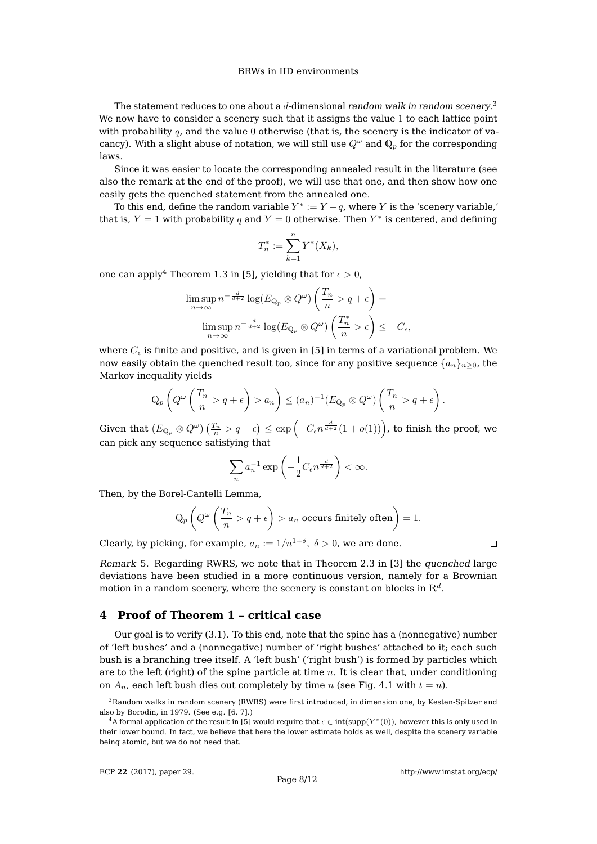## BRWs in IID environments

The statement reduces to one about a  $d$ -dimensional *random walk in random scenery*. $^3$ We now have to consider a scenery such that it assigns the value 1 to each lattice point with probability  $q$ , and the value 0 otherwise (that is, the scenery is the indicator of vacancy). With a slight abuse of notation, we will still use  $Q^{\omega}$  and  $\mathbb{Q}_p$  for the corresponding laws.

Since it was easier to locate the corresponding annealed result in the literature (see also the remark at the end of the proof), we will use that one, and then show how one easily gets the quenched statement from the annealed one.

To this end, define the random variable  $Y^* := Y - q$ , where Y is the 'scenery variable,' that is,  $Y = 1$  with probability q and  $Y = 0$  otherwise. Then  $Y^*$  is centered, and defining

$$
T_n^* := \sum_{k=1}^n Y^*(X_k),
$$

one can apply<sup>4</sup> Theorem 1.3 in [5], yielding that for  $\epsilon > 0$ ,

$$
\limsup_{n \to \infty} n^{-\frac{d}{d+2}} \log(E_{\mathbb{Q}_p} \otimes Q^{\omega}) \left( \frac{T_n}{n} > q + \epsilon \right) =
$$
  

$$
\limsup_{n \to \infty} n^{-\frac{d}{d+2}} \log(E_{\mathbb{Q}_p} \otimes Q^{\omega}) \left( \frac{T_n^*}{n} > \epsilon \right) \leq -C_{\epsilon},
$$

where  $C_{\epsilon}$  is finite and positive, and is given in [5] in terms of a variational problem. We now easily obtain the quenched result too, since for any positive sequence  $\{a_n\}_{n>0}$ , the Markov inequality yields

$$
\mathbb{Q}_p\left(Q^{\omega}\left(\frac{T_n}{n} > q + \epsilon\right) > a_n\right) \leq (a_n)^{-1}(E_{\mathbb{Q}_p} \otimes Q^{\omega})\left(\frac{T_n}{n} > q + \epsilon\right).
$$

Given that  $(E_{\mathbb{Q}_p}\otimes Q^{\omega})\left(\frac{T_n}{n}>q+\epsilon\right)\leq \exp\left(-C_{\epsilon}n^{\frac{d}{d+2}}(1+o(1))\right)$ , to finish the proof, we can pick any sequence satisfying that

$$
\sum_{n} a_n^{-1} \exp\left(-\frac{1}{2}C_{\epsilon} n^{\frac{d}{d+2}}\right) < \infty.
$$

Then, by the Borel-Cantelli Lemma,

$$
\mathbb{Q}_p\left(Q^{\omega}\left(\frac{T_n}{n} > q + \epsilon\right) > a_n \text{ occurs finitely often}\right) = 1.
$$

Clearly, by picking, for example,  $a_n := 1/n^{1+\delta}$ ,  $\delta > 0$ , we are done.

Remark 5. Regarding RWRS, we note that in Theorem 2.3 in [3] the quenched large deviations have been studied in a more continuous version, namely for a Brownian motion in a random scenery, where the scenery is constant on blocks in  $\mathbb{R}^d.$ 

## **4 Proof of Theorem 1 – critical case**

Our goal is to verify (3.1). To this end, note that the spine has a (nonnegative) number of 'left bushes' and a (nonnegative) number of 'right bushes' attached to it; each such bush is a branching tree itself. A 'left bush' ('right bush') is formed by particles which are to the left (right) of the spine particle at time  $n$ . It is clear that, under conditioning on  $A_n$ , each left bush dies out completely by time n (see Fig. 4.1 with  $t = n$ ).

 $3R$ andom walks in random scenery (RWRS) were first introduced, in dimension one, by Kesten-Spitzer and also by Borodin, in 1979. (See e.g. [6, 7].)

 $^4$ A formal application of the result in [5] would require that  $\epsilon \in \text{int}(\text{supp}(Y^*(0)),$  however this is only used in their lower bound. In fact, we believe that here the lower estimate holds as well, despite the scenery variable being atomic, but we do not need that.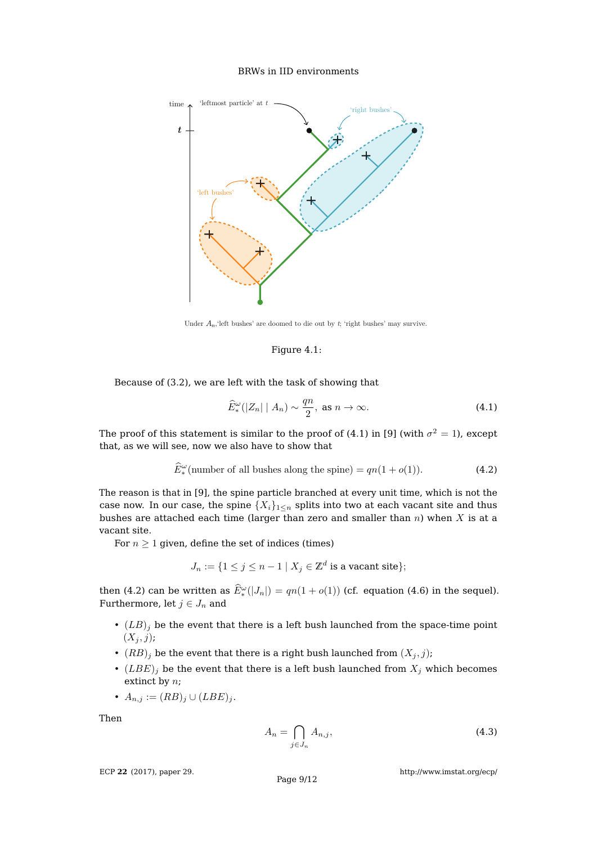## BRWs in IID environments



Under  $A_n$ , 'left bushes' are doomed to die out by  $t$ ; 'right bushes' may survive.

#### Figure 4.1:

Because of (3.2), we are left with the task of showing that

$$
\widehat{E}^{\omega}_*(|Z_n| \mid A_n) \sim \frac{qn}{2}, \text{ as } n \to \infty.
$$
 (4.1)

The proof of this statement is similar to the proof of (4.1) in [9] (with  $\sigma^2=1$ ), except that, as we will see, now we also have to show that

$$
\widehat{E}^{\omega}_{*}(\text{number of all bushes along the spine}) = qn(1 + o(1)).\tag{4.2}
$$

The reason is that in [9], the spine particle branched at every unit time, which is not the case now. In our case, the spine  $\{X_i\}_{i\leq n}$  splits into two at each vacant site and thus bushes are attached each time (larger than zero and smaller than  $n$ ) when  $X$  is at a vacant site.

For  $n \geq 1$  given, define the set of indices (times)

$$
J_n := \{ 1 \le j \le n - 1 \mid X_j \in \mathbb{Z}^d \text{ is a vacant site} \};
$$

then (4.2) can be written as  $\hat{E}^{\omega}_{*}(|J_{n}|) = qn(1+o(1))$  (cf. equation (4.6) in the sequel). Furthermore, let  $j \in J_n$  and

- $(LB)_i$  be the event that there is a left bush launched from the space-time point  $(X_j, j);$
- $(RB)_i$  be the event that there is a right bush launched from  $(X_i, j)$ ;
- $(LBE)_j$  be the event that there is a left bush launched from  $X_j$  which becomes extinct by  $n$ ;
- $A_{n,j} := (RB)_j \cup (LBE)_j$ .

Then

$$
A_n = \bigcap_{j \in J_n} A_{n,j},\tag{4.3}
$$

ECP **22** [\(2017\), paper 29.](http://dx.doi.org/10.1214/17-ECP60)

<http://www.imstat.org/ecp/>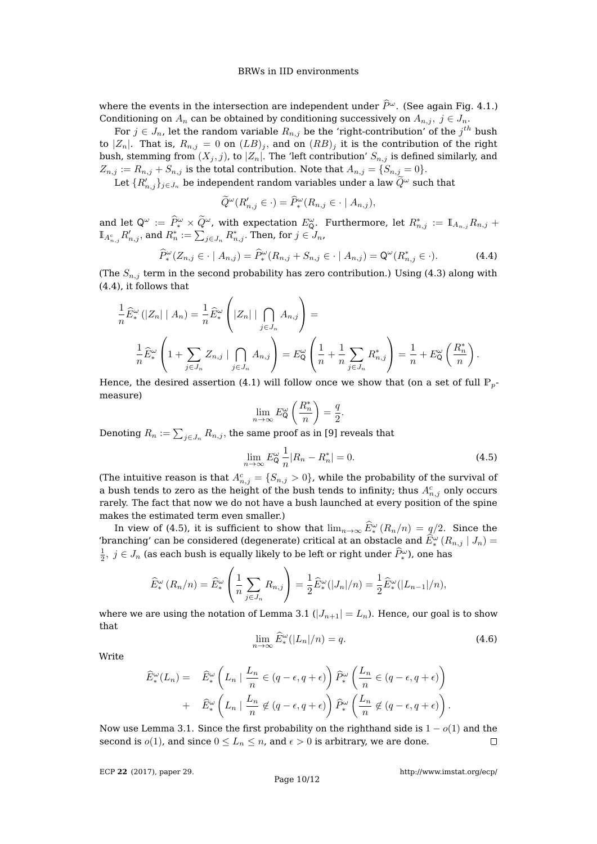### BRWs in IID environments

where the events in the intersection are independent under  $\hat{P}^{\omega}$ . (See again Fig. 4.1.) Conditioning on  $A_n$  can be obtained by conditioning successively on  $A_{n,j}$ ,  $j \in J_n$ .

For  $j \in J_n$ , let the random variable  $R_{n,j}$  be the 'right-contribution' of the  $j^{th}$  bush to  $|Z_n|$ . That is,  $R_{n,j} = 0$  on  $(LB)_j$ , and on  $(RB)_j$  it is the contribution of the right bush, stemming from  $(X_j, j)$ , to  $|Z_n|$ . The 'left contribution'  $S_{n,j}$  is defined similarly, and  $Z_{n,j} := R_{n,j} + S_{n,j}$  is the total contribution. Note that  $A_{n,j} = \{S_{n,j} = 0\}.$ 

Let  $\{R_{n,j}'\}_{j\in J_n}$  be independent random variables under a law  $\widetilde{Q}^{\omega}$  such that

$$
\widetilde{Q}^{\omega}(R'_{n,j} \in \cdot) = \widehat{P}^{\omega}_*(R_{n,j} \in \cdot \mid A_{n,j}),
$$

and let  $Q^{\omega} := \hat{P}_{*}^{\omega} \times \tilde{Q}^{\omega}$ , with expectation  $E_{Q}^{\omega}$ . Furthermore, let  $R_{n,j}^{*} := \mathbb{I}_{A_{n,j}} R_{n,j} +$  $\mathbb{I}_{A_{n,j}^c}R'_{n,j},$  and  $R_n^*:=\sum_{j\in J_n}R_{n,j}^*.$  Then, for  $j\in\overline{J_n}$ ,

$$
\widehat{P}^{\omega}_{*}(Z_{n,j} \in \cdot \mid A_{n,j}) = \widehat{P}^{\omega}_{*}(R_{n,j} + S_{n,j} \in \cdot \mid A_{n,j}) = \mathsf{Q}^{\omega}(R_{n,j}^{*} \in \cdot). \tag{4.4}
$$

(The  $S_{n,j}$  term in the second probability has zero contribution.) Using (4.3) along with (4.4), it follows that

$$
\frac{1}{n}\widehat{E}^{\omega}_{*}\left(|Z_{n}|\mid A_{n}\right) = \frac{1}{n}\widehat{E}^{\omega}_{*}\left(|Z_{n}|\mid \bigcap_{j\in J_{n}} A_{n,j}\right) =
$$
\n
$$
\frac{1}{n}\widehat{E}^{\omega}_{*}\left(1 + \sum_{j\in J_{n}} Z_{n,j}\mid \bigcap_{j\in J_{n}} A_{n,j}\right) = E^{\omega}_{\mathsf{Q}}\left(\frac{1}{n} + \frac{1}{n}\sum_{j\in J_{n}} R_{n,j}^{*}\right) = \frac{1}{n} + E^{\omega}_{\mathsf{Q}}\left(\frac{R_{n}^{*}}{n}\right).
$$

Hence, the desired assertion (4.1) will follow once we show that (on a set of full  $\mathbb{P}_p$ measure)

$$
\lim_{n \to \infty} E_{\mathsf{Q}}^{\omega} \left( \frac{R_n^*}{n} \right) = \frac{q}{2}.
$$

Denoting  $R_n := \sum_{j \in J_n} R_{n,j},$  the same proof as in [9] reveals that

$$
\lim_{n \to \infty} E_{\mathsf{Q}}^{\omega} \frac{1}{n} |R_n - R_n^*| = 0.
$$
\n(4.5)

(The intuitive reason is that  $A_{n,j}^c = \{S_{n,j} > 0\}$ , while the probability of the survival of a bush tends to zero as the height of the bush tends to infinity; thus  $A_{n,j}^c$  only occurs rarely. The fact that now we do not have a bush launched at every position of the spine makes the estimated term even smaller.)

In view of (4.5), it is sufficient to show that  $\lim_{n\to\infty} E_*^{\omega}(R_n/n) = q/2$ . Since the 'branching' can be considered (degenerate) critical at an obstacle and  $\widehat{E}^\omega_*\left(R_{n,j} \mid J_n\right) =$  $\frac{1}{2}, \; j \in J_n$  (as each bush is equally likely to be left or right under  $\widehat{P}_*^{\omega}$ ), one has

$$
\widehat{E}^{\omega}_*(R_n/n) = \widehat{E}^{\omega}_*\left(\frac{1}{n}\sum_{j\in J_n}R_{n,j}\right) = \frac{1}{2}\widehat{E}^{\omega}_*(|J_n|/n) = \frac{1}{2}\widehat{E}^{\omega}_*(|L_{n-1}|/n),
$$

where we are using the notation of Lemma 3.1  $(|J_{n+1}| = L_n)$ . Hence, our goal is to show that

$$
\lim_{n \to \infty} \widehat{E}_*^{\omega}(|L_n|/n) = q.
$$
\n(4.6)

**Write** 

$$
\widehat{E}^{\omega}_*(L_n) = \widehat{E}^{\omega}_*\left(L_n \mid \frac{L_n}{n} \in (q - \epsilon, q + \epsilon)\right) \widehat{P}^{\omega}_*\left(\frac{L_n}{n} \in (q - \epsilon, q + \epsilon)\right) + \widehat{E}^{\omega}_*\left(L_n \mid \frac{L_n}{n} \notin (q - \epsilon, q + \epsilon)\right) \widehat{P}^{\omega}_*\left(\frac{L_n}{n} \notin (q - \epsilon, q + \epsilon)\right).
$$

Now use Lemma 3.1. Since the first probability on the righthand side is  $1 - o(1)$  and the second is  $o(1)$ , and since  $0 \le L_n \le n$ , and  $\epsilon > 0$  is arbitrary, we are done.  $\Box$ 

ECP **22** [\(2017\), paper 29.](http://dx.doi.org/10.1214/17-ECP60)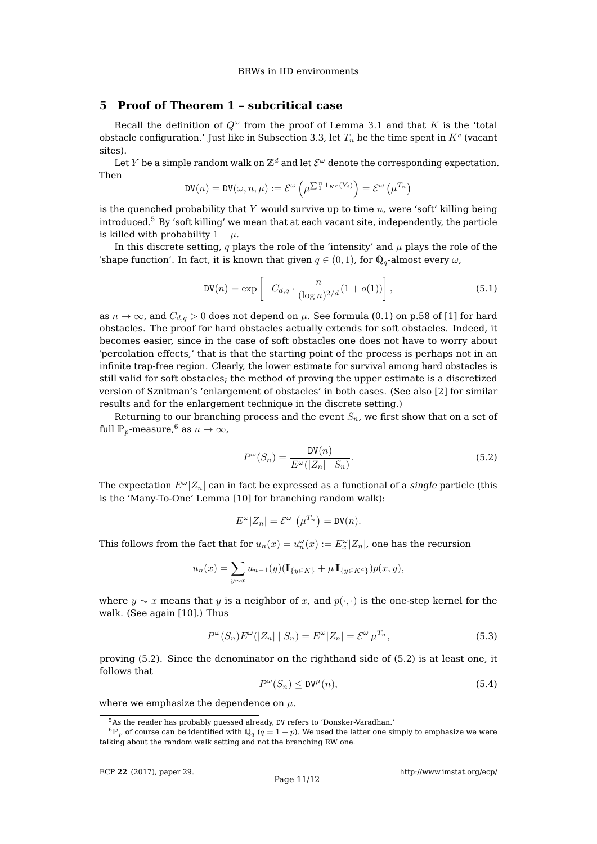## **5 Proof of Theorem 1 – subcritical case**

Recall the definition of  $Q^{\omega}$  from the proof of Lemma 3.1 and that K is the 'total obstacle configuration.' Just like in Subsection 3.3, let  $T_n$  be the time spent in  $K^c$  (vacant sites).

Let  $Y$  be a simple random walk on  $\mathbb{Z}^d$  and let  $\mathcal{E}^{\omega}$  denote the corresponding expectation. Then

$$
\text{DV}(n) = \text{DV}(\omega, n, \mu) := \mathcal{E}^{\omega}\left(\mu^{\sum_{1}^{n} 1_{K^c}(Y_i)}\right) = \mathcal{E}^{\omega}\left(\mu^{T_n}\right)
$$

is the quenched probability that  $Y$  would survive up to time  $n$ , were 'soft' killing being introduced.<sup>5</sup> By 'soft killing' we mean that at each vacant site, independently, the particle is killed with probability  $1 - \mu$ .

In this discrete setting, q plays the role of the 'intensity' and  $\mu$  plays the role of the 'shape function'. In fact, it is known that given  $q \in (0,1)$ , for  $\mathbb{Q}_q$ -almost every  $\omega$ ,

$$
DV(n) = \exp\left[-C_{d,q} \cdot \frac{n}{(\log n)^{2/d}}(1+o(1))\right],
$$
\n(5.1)

as  $n \to \infty$ , and  $C_{d,q} > 0$  does not depend on  $\mu$ . See formula (0.1) on p.58 of [1] for hard obstacles. The proof for hard obstacles actually extends for soft obstacles. Indeed, it becomes easier, since in the case of soft obstacles one does not have to worry about 'percolation effects,' that is that the starting point of the process is perhaps not in an infinite trap-free region. Clearly, the lower estimate for survival among hard obstacles is still valid for soft obstacles; the method of proving the upper estimate is a discretized version of Sznitman's 'enlargement of obstacles' in both cases. (See also [2] for similar results and for the enlargement technique in the discrete setting.)

Returning to our branching process and the event  $S_n$ , we first show that on a set of full  $\mathbb{P}_p$ -measure,<sup>6</sup> as  $n \to \infty$ ,

$$
P^{\omega}(S_n) = \frac{\text{DV}(n)}{E^{\omega}(|Z_n| | S_n)}.
$$
\n(5.2)

The expectation  $E^{\omega} |Z_n|$  can in fact be expressed as a functional of a single particle (this is the 'Many-To-One' Lemma [10] for branching random walk):

$$
E^{\omega}|Z_n| = \mathcal{E}^{\omega}(\mu^{T_n}) = \text{DV}(n).
$$

This follows from the fact that for  $u_n(x) = u_n^{\omega}(x) := E_x^{\omega} |Z_n|$ , one has the recursion

$$
u_n(x) = \sum_{y \sim x} u_{n-1}(y) (\mathbb{I}_{\{y \in K\}} + \mu \mathbb{I}_{\{y \in K^c\}}) p(x, y),
$$

where  $y \sim x$  means that y is a neighbor of x, and  $p(\cdot, \cdot)$  is the one-step kernel for the walk. (See again [10].) Thus

$$
P^{\omega}(S_n)E^{\omega}(|Z_n| | S_n) = E^{\omega}|Z_n| = \mathcal{E}^{\omega} \mu^{T_n},\tag{5.3}
$$

proving (5.2). Since the denominator on the righthand side of (5.2) is at least one, it follows that

$$
P^{\omega}(S_n) \le \mathsf{DV}^{\mu}(n),\tag{5.4}
$$

where we emphasize the dependence on  $\mu$ .

<sup>&</sup>lt;sup>5</sup>As the reader has probably guessed already, DV refers to 'Donsker-Varadhan.'

 ${}^6P_p$  of course can be identified with  $Q_q$  ( $q = 1 - p$ ). We used the latter one simply to emphasize we were talking about the random walk setting and not the branching RW one.